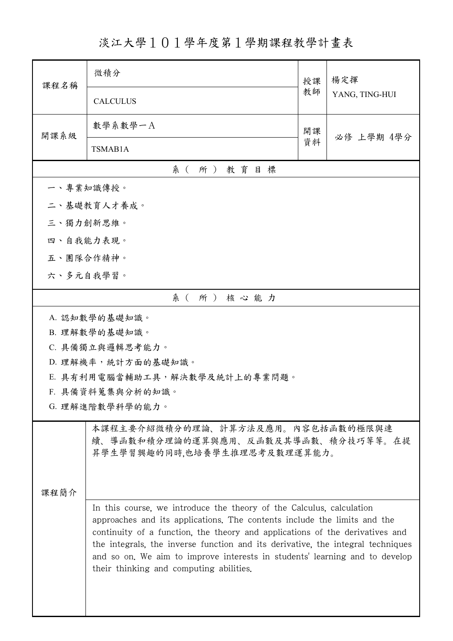淡江大學101學年度第1學期課程教學計畫表

| 課程名稱                                                                                                                                                                                                                                                                                                                                                                                                                                          | 微積分                                                                                                      | 授課 | 楊定揮<br>YANG, TING-HUI |  |  |
|-----------------------------------------------------------------------------------------------------------------------------------------------------------------------------------------------------------------------------------------------------------------------------------------------------------------------------------------------------------------------------------------------------------------------------------------------|----------------------------------------------------------------------------------------------------------|----|-----------------------|--|--|
|                                                                                                                                                                                                                                                                                                                                                                                                                                               | <b>CALCULUS</b>                                                                                          | 教師 |                       |  |  |
| 開課系級                                                                                                                                                                                                                                                                                                                                                                                                                                          | 數學系數學一A                                                                                                  | 開課 | 必修 上學期 4學分            |  |  |
|                                                                                                                                                                                                                                                                                                                                                                                                                                               | TSMAB1A                                                                                                  | 資料 |                       |  |  |
|                                                                                                                                                                                                                                                                                                                                                                                                                                               | 系(所)教育目標                                                                                                 |    |                       |  |  |
| 一、專業知識傳授。                                                                                                                                                                                                                                                                                                                                                                                                                                     |                                                                                                          |    |                       |  |  |
|                                                                                                                                                                                                                                                                                                                                                                                                                                               | 二、基礎教育人才養成。                                                                                              |    |                       |  |  |
| 三、獨力創新思維。                                                                                                                                                                                                                                                                                                                                                                                                                                     |                                                                                                          |    |                       |  |  |
| 四、自我能力表現。                                                                                                                                                                                                                                                                                                                                                                                                                                     |                                                                                                          |    |                       |  |  |
| 五、團隊合作精神。                                                                                                                                                                                                                                                                                                                                                                                                                                     |                                                                                                          |    |                       |  |  |
| 六、多元自我學習。                                                                                                                                                                                                                                                                                                                                                                                                                                     |                                                                                                          |    |                       |  |  |
|                                                                                                                                                                                                                                                                                                                                                                                                                                               | 系(所)核心能力                                                                                                 |    |                       |  |  |
|                                                                                                                                                                                                                                                                                                                                                                                                                                               | A. 認知數學的基礎知識。                                                                                            |    |                       |  |  |
|                                                                                                                                                                                                                                                                                                                                                                                                                                               | B. 理解數學的基礎知識。                                                                                            |    |                       |  |  |
| C. 具備獨立與邏輯思考能力。                                                                                                                                                                                                                                                                                                                                                                                                                               |                                                                                                          |    |                       |  |  |
| D. 理解機率,統計方面的基礎知識。                                                                                                                                                                                                                                                                                                                                                                                                                            |                                                                                                          |    |                       |  |  |
| E. 具有利用電腦當輔助工具,解決數學及統計上的專業問題。                                                                                                                                                                                                                                                                                                                                                                                                                 |                                                                                                          |    |                       |  |  |
| F. 具備資料蒐集與分析的知識。<br>G. 理解進階數學科學的能力。                                                                                                                                                                                                                                                                                                                                                                                                           |                                                                                                          |    |                       |  |  |
|                                                                                                                                                                                                                                                                                                                                                                                                                                               |                                                                                                          |    |                       |  |  |
|                                                                                                                                                                                                                                                                                                                                                                                                                                               | 本課程主要介紹微積分的理論、計算方法及應用。內容包括函數的極限與連<br>續、導函數和積分理論的運算與應用、反函數及其導函數、積分技巧等等。在提<br>昇學生學習興趣的同時,也培養學生推理思考及數理運算能力。 |    |                       |  |  |
| 课程简介                                                                                                                                                                                                                                                                                                                                                                                                                                          |                                                                                                          |    |                       |  |  |
| In this course, we introduce the theory of the Calculus, calculation<br>approaches and its applications. The contents include the limits and the<br>continuity of a function, the theory and applications of the derivatives and<br>the integrals, the inverse function and its derivative, the integral techniques<br>and so on. We aim to improve interests in students' learning and to develop<br>their thinking and computing abilities. |                                                                                                          |    |                       |  |  |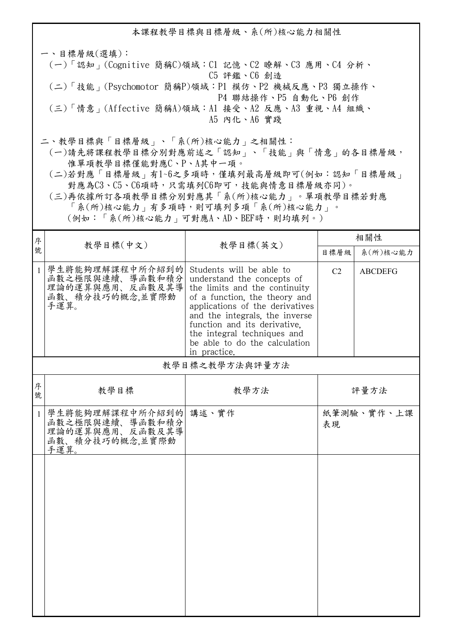本課程教學目標與目標層級、系(所)核心能力相關性 一、目標層級(選填): (一)「認知」(Cognitive 簡稱C)領域:C1 記憶、C2 瞭解、C3 應用、C4 分析、 C5 評鑑、C6 創造 (二)「技能」(Psychomotor 簡稱P)領域:P1 模仿、P2 機械反應、P3 獨立操作、 P4 聯結操作、P5 自動化、P6 創作 (三)「情意」(Affective 簡稱A)領域:A1 接受、A2 反應、A3 重視、A4 組織、 A5 內化、A6 實踐 二、教學目標與「目標層級」、「系(所)核心能力」之相關性: (一)請先將課程教學目標分別對應前述之「認知」、「技能」與「情意」的各目標層級,

 惟單項教學目標僅能對應C、P、A其中一項。 (二)若對應「目標層級」有1~6之多項時,僅填列最高層級即可(例如:認知「目標層級」 對應為C3、C5、C6項時,只需填列C6即可,技能與情意目標層級亦同)。

 (三)再依據所訂各項教學目標分別對應其「系(所)核心能力」。單項教學目標若對應 「系(所)核心能力」有多項時,則可填列多項「系(所)核心能力」。

(例如:「系(所)核心能力」可對應A、AD、BEF時,則均填列。)

| 序            | 教學目標(中文)                                                                               | 教學目標(英文)                                                                                                                                                                                                                                                                                                      | 相關性            |                |
|--------------|----------------------------------------------------------------------------------------|---------------------------------------------------------------------------------------------------------------------------------------------------------------------------------------------------------------------------------------------------------------------------------------------------------------|----------------|----------------|
| 號            |                                                                                        |                                                                                                                                                                                                                                                                                                               | 目標層級           | 系(所)核心能力       |
| $\mathbf{1}$ | 學生將能夠理解課程中所介紹到的<br>函數之極限與連續、導函數和積分<br>理論的運算與應用、反函數及其導<br>函數、積分技巧的概念,並實際動<br>手運算。       | Students will be able to<br>understand the concepts of<br>the limits and the continuity<br>of a function, the theory and<br>applications of the derivatives<br>and the integrals, the inverse<br>function and its derivative.<br>the integral techniques and<br>be able to do the calculation<br>in practice. | C <sub>2</sub> | <b>ABCDEFG</b> |
|              |                                                                                        | 教學目標之教學方法與評量方法                                                                                                                                                                                                                                                                                                |                |                |
| 序<br>號       | 教學目標                                                                                   | 教學方法                                                                                                                                                                                                                                                                                                          |                | 評量方法           |
| $\mathbf{1}$ | 學生將能夠理解課程中所介紹到的 講述、實作<br>函數之極限與連續、導函數和積分<br>理論的運算與應用、反函數及其導<br>函數、積分技巧的概念,並實際動<br>手運算。 |                                                                                                                                                                                                                                                                                                               | 表現             | 紙筆測驗、實作、上課     |
|              |                                                                                        |                                                                                                                                                                                                                                                                                                               |                |                |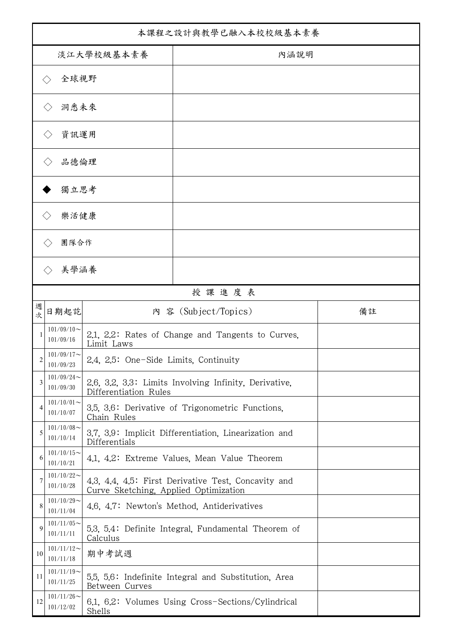| 本課程之設計與教學已融入本校校級基本素養 |                            |                                       |                                                       |    |  |
|----------------------|----------------------------|---------------------------------------|-------------------------------------------------------|----|--|
| 淡江大學校級基本素養           |                            |                                       | 內涵說明                                                  |    |  |
|                      | 全球視野                       |                                       |                                                       |    |  |
|                      | 洞悉未來                       |                                       |                                                       |    |  |
|                      | 資訊運用                       |                                       |                                                       |    |  |
|                      | 品德倫理                       |                                       |                                                       |    |  |
|                      | 獨立思考                       |                                       |                                                       |    |  |
|                      | 樂活健康                       |                                       |                                                       |    |  |
|                      | 團隊合作                       |                                       |                                                       |    |  |
|                      | 美學涵養                       |                                       |                                                       |    |  |
|                      |                            |                                       | 授課進度表                                                 |    |  |
| 週<br>次               | 日期起訖                       |                                       | 内 容 (Subject/Topics)                                  | 備註 |  |
|                      | $101/09/10$ ~<br>101/09/16 | Limit Laws                            | 2.1, 2.2: Rates of Change and Tangents to Curves,     |    |  |
| $\overline{c}$       | $101/09/17$ ~<br>101/09/23 | 2.4, 2.5: One-Side Limits, Continuity |                                                       |    |  |
| 3                    | $101/09/24$ ~<br>101/09/30 | Differentiation Rules                 | 2.6, 3.2, 3.3: Limits Involving Infinity, Derivative, |    |  |
| 4                    | $101/10/01$ ~<br>101/10/07 | Chain Rules                           | 3.5, 3.6: Derivative of Trigonometric Functions.      |    |  |
| 5                    | $101/10/08$ ~<br>101/10/14 | Differentials                         | 3.7, 3.9: Implicit Differentiation, Linearization and |    |  |
| 6                    | $101/10/15$ ~<br>101/10/21 |                                       | 4.1, 4.2: Extreme Values, Mean Value Theorem          |    |  |
| 7                    | $101/10/22$ ~<br>101/10/28 | Curve Sketching, Applied Optimization | 4.3, 4.4, 4.5: First Derivative Test, Concavity and   |    |  |
| 8                    | $101/10/29$ ~<br>101/11/04 |                                       | 4.6, 4.7: Newton's Method, Antiderivatives            |    |  |
| 9                    | $101/11/05$ ~<br>101/11/11 | Calculus                              | 5.3, 5.4: Definite Integral, Fundamental Theorem of   |    |  |
| 10                   | $101/11/12$ ~<br>101/11/18 | 期中考試週                                 |                                                       |    |  |
| 11                   | $101/11/19$ ~<br>101/11/25 | Between Curves                        | 5.5, 5.6: Indefinite Integral and Substitution, Area  |    |  |
| 12                   | $101/11/26$ ~<br>101/12/02 | Shells                                | 6.1, 6.2: Volumes Using Cross-Sections/Cylindrical    |    |  |